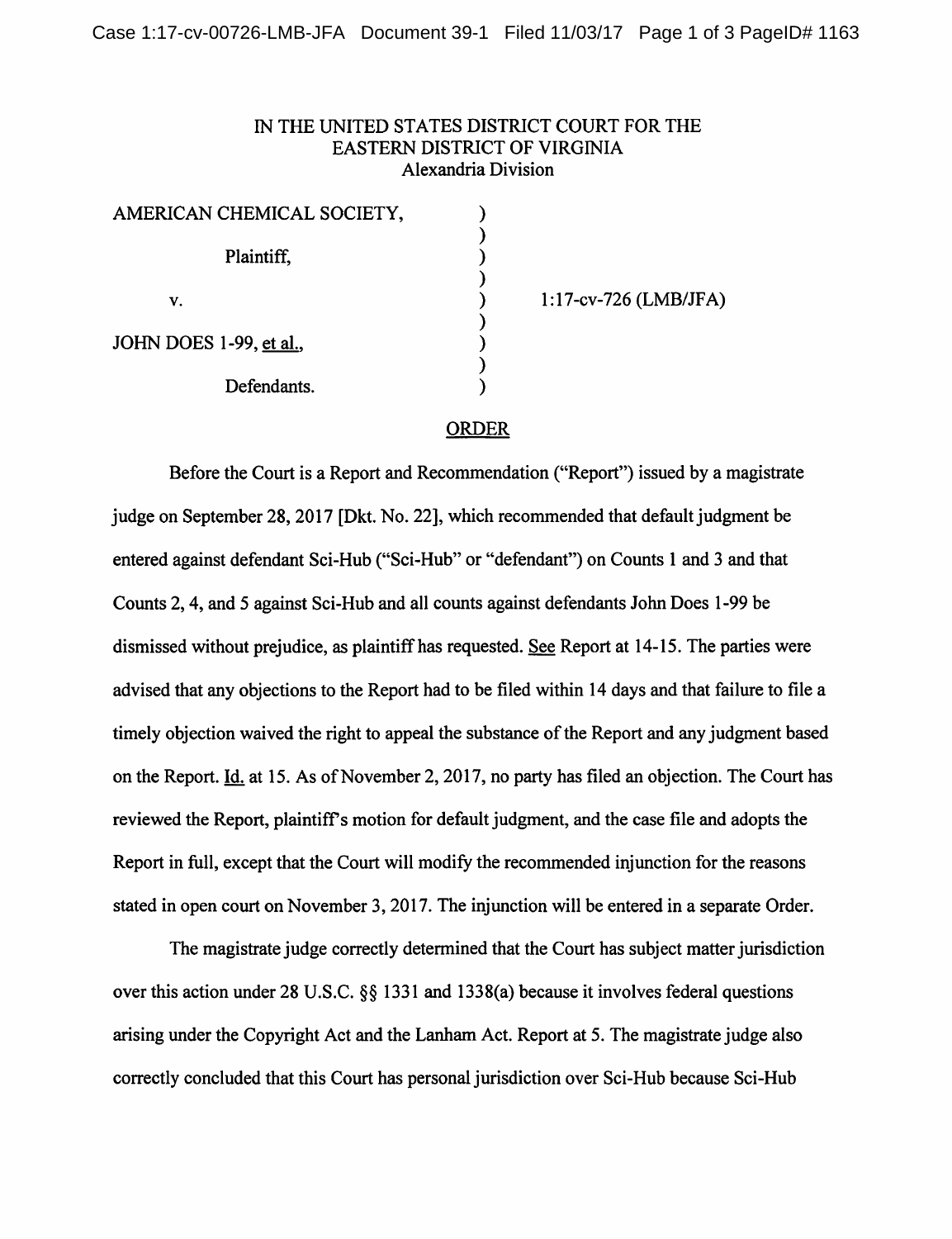## IN THE UNITED STATES DISTRICT COURT FOR THE EASTERN DISTRICT OF VIRGINIA Alexandria Division

| AMERICAN CHEMICAL SOCIETY, |  |
|----------------------------|--|
| Plaintiff,                 |  |
| V.                         |  |
| JOHN DOES 1-99, et al.,    |  |
| Defendants.                |  |

I: l 7-cv-726 (LMB/JFA)

## ORDER

Before the Court is a Report and Recommendation ("Report") issued by a magistrate judge on September 28, 2017 [Dkt. No. 22], which recommended that default judgment be entered against defendant Sci-Hub ("Sci-Hub" or "defendant") on Counts 1 and 3 and that Counts 2, 4, and 5 against Sci-Hub and all counts against defendants John Does 1-99 be dismissed without prejudice, as plaintiff has requested. See Report at 14-15. The parties were advised that any objections to the Report had to be filed within 14 days and that failure to file a timely objection waived the right to appeal the substance of the Report and any judgment based on the Report. Id. at 15. As of November 2, 2017, no party has filed an objection. The Court has reviewed the Report, plaintiff's motion for default judgment, and the case file and adopts the Report in full, except that the Court will modify the recommended injunction for the reasons stated in open court on November 3, 2017. The injunction will be entered in a separate Order.

The magistrate judge correctly determined that the Court has subject matter jurisdiction over this action under 28 U.S.C. §§ 1331 and 1338(a) because it involves federal questions arising under the Copyright Act and the Lanham Act. Report at 5. The magistrate judge also correctly concluded that this Court has personal jurisdiction over Sci-Hub because Sci-Hub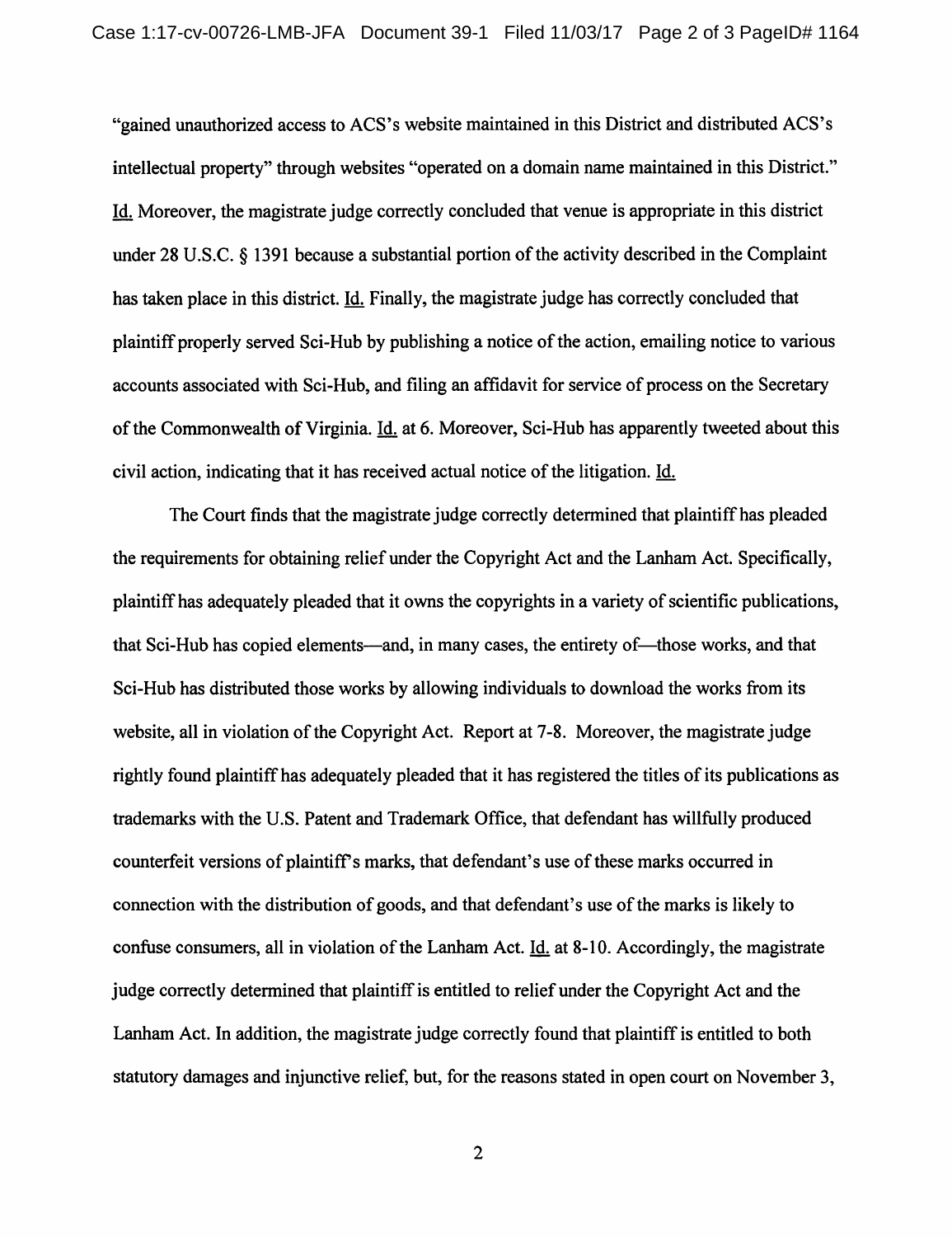"gained unauthorized access to ACS's website maintained in this District and distributed ACS's intellectual property" through websites "operated on a domain name maintained in this District." Id. Moreover, the magistrate judge correctly concluded that venue is appropriate in this district under 28 U.S.C. § 1391 because a substantial portion of the activity described in the Complaint has taken place in this district. Id. Finally, the magistrate judge has correctly concluded that plaintiff properly served Sci-Hub by publishing a notice of the action, emailing notice to various accounts associated with Sci-Hub, and filing an affidavit for service of process on the Secretary of the Commonwealth of Virginia. Id. at 6. Moreover, Sci-Hub has apparently tweeted about this civil action, indicating that it has received actual notice of the litigation. Id.

The Court finds that the magistrate judge correctly determined that plaintiff has pleaded the requirements for obtaining relief under the Copyright Act and the Lanham Act. Specifically, plaintiff has adequately pleaded that it owns the copyrights in a variety of scientific publications, that Sci-Hub has copied elements—and, in many cases, the entirety of—those works, and that Sci-Hub has distributed those works by allowing individuals to download the works from its website, all in violation of the Copyright Act. Report at 7-8. Moreover, the magistrate judge rightly found plaintiff has adequately pleaded that it has registered the titles of its publications as trademarks with the U.S. Patent and Trademark Office, that defendant has willfully produced counterfeit versions of plaintiffs marks, that defendant's use of these marks occurred in connection with the distribution of goods, and that defendant's use of the marks is likely to confuse consumers, all in violation of the Lanham Act. Id. at 8-10. Accordingly, the magistrate judge correctly determined that plaintiff is entitled to relief under the Copyright Act and the Lanham Act. In addition, the magistrate judge correctly found that plaintiff is entitled to both statutory damages and injunctive relief, but, for the reasons stated in open court on November 3,

2